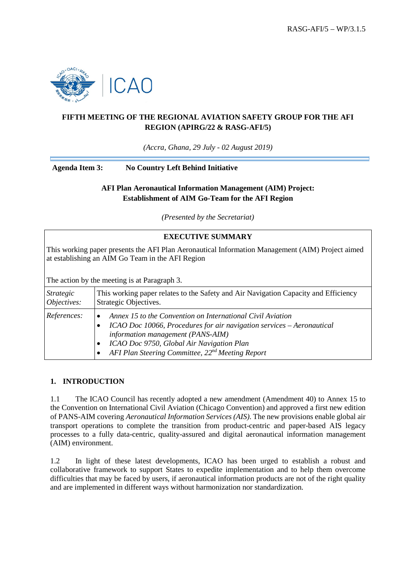

## **FIFTH MEETING OF THE REGIONAL AVIATION SAFETY GROUP FOR THE AFI REGION (APIRG/22 & RASG-AFI/5)**

*(Accra, Ghana, 29 July - 02 August 2019)*

**Agenda Item 3: No Country Left Behind Initiative**

### **AFI Plan Aeronautical Information Management (AIM) Project: Establishment of AIM Go-Team for the AFI Region**

*(Presented by the Secretariat)*

#### **EXECUTIVE SUMMARY**

This working paper presents the AFI Plan Aeronautical Information Management (AIM) Project aimed at establishing an AIM Go Team in the AFI Region

The action by the meeting is at Paragraph 3.

| <i>Strategic</i> | This working paper relates to the Safety and Air Navigation Capacity and Efficiency                                                                                                                                                                                                   |
|------------------|---------------------------------------------------------------------------------------------------------------------------------------------------------------------------------------------------------------------------------------------------------------------------------------|
| Objectives:      | Strategic Objectives.                                                                                                                                                                                                                                                                 |
| References:      | Annex 15 to the Convention on International Civil Aviation<br>ICAO Doc 10066, Procedures for air navigation services - Aeronautical<br>information management (PANS-AIM)<br>ICAO Doc 9750, Global Air Navigation Plan<br>AFI Plan Steering Committee, 22 <sup>nd</sup> Meeting Report |

### **1. INTRODUCTION**

1.1 The ICAO Council has recently adopted a new amendment (Amendment 40) to Annex 15 to the Convention on International Civil Aviation (Chicago Convention) and approved a first new edition of PANS-AIM covering *Aeronautical Information Services (AIS)*. The new provisions enable global air transport operations to complete the transition from product-centric and paper-based AIS legacy processes to a fully data-centric, quality-assured and digital aeronautical information management (AIM) environment.

1.2 In light of these latest developments, ICAO has been urged to establish a robust and collaborative framework to support States to expedite implementation and to help them overcome difficulties that may be faced by users, if aeronautical information products are not of the right quality and are implemented in different ways without harmonization nor standardization.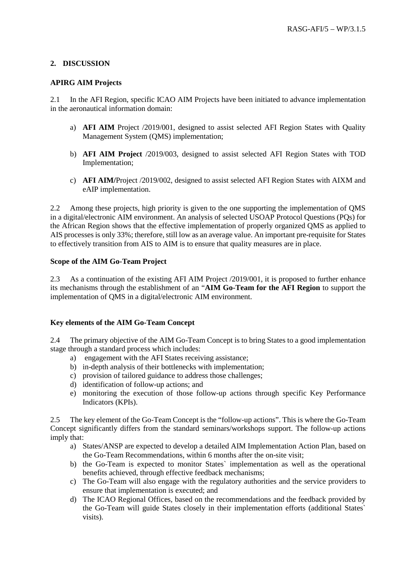### **2. DISCUSSION**

#### **APIRG AIM Projects**

2.1 In the AFI Region, specific ICAO AIM Projects have been initiated to advance implementation in the aeronautical information domain:

- a) **AFI AIM** Project /2019/001, designed to assist selected AFI Region States with Quality Management System (QMS) implementation;
- b) **AFI AIM Project** /2019/003, designed to assist selected AFI Region States with TOD Implementation;
- c) **AFI AIM/**Project /2019/002, designed to assist selected AFI Region States with AIXM and eAIP implementation.

2.2 Among these projects, high priority is given to the one supporting the implementation of QMS in a digital/electronic AIM environment. An analysis of selected USOAP Protocol Questions (PQs) for the African Region shows that the effective implementation of properly organized QMS as applied to AIS processes is only 33%; therefore, still low as an average value. An important pre-requisite for States to effectively transition from AIS to AIM is to ensure that quality measures are in place.

### **Scope of the AIM Go-Team Project**

2.3 As a continuation of the existing AFI AIM Project /2019/001, it is proposed to further enhance its mechanisms through the establishment of an "**AIM Go-Team for the AFI Region** to support the implementation of QMS in a digital/electronic AIM environment.

### **Key elements of the AIM Go-Team Concept**

2.4 The primary objective of the AIM Go-Team Concept is to bring States to a good implementation stage through a standard process which includes:

- a) engagement with the AFI States receiving assistance;
- b) in-depth analysis of their bottlenecks with implementation;
- c) provision of tailored guidance to address those challenges;
- d) identification of follow-up actions; and
- e) monitoring the execution of those follow-up actions through specific Key Performance Indicators (KPIs).

2.5 The key element of the Go-Team Concept is the "follow-up actions". This is where the Go-Team Concept significantly differs from the standard seminars/workshops support. The follow-up actions imply that:

- a) States/ANSP are expected to develop a detailed AIM Implementation Action Plan, based on the Go-Team Recommendations, within 6 months after the on-site visit;
- b) the Go-Team is expected to monitor States` implementation as well as the operational benefits achieved, through effective feedback mechanisms;
- c) The Go-Team will also engage with the regulatory authorities and the service providers to ensure that implementation is executed; and
- d) The ICAO Regional Offices, based on the recommendations and the feedback provided by the Go-Team will guide States closely in their implementation efforts (additional States` visits).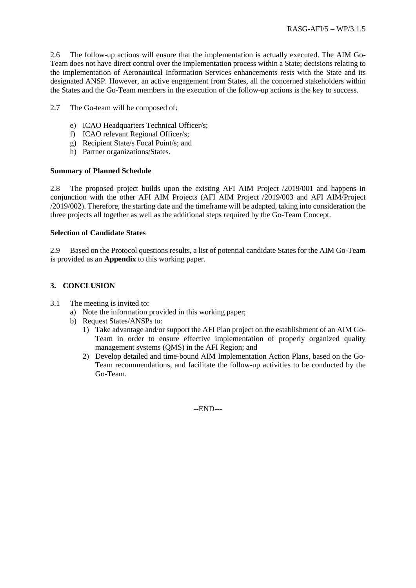2.6 The follow-up actions will ensure that the implementation is actually executed. The AIM Go-Team does not have direct control over the implementation process within a State; decisions relating to the implementation of Aeronautical Information Services enhancements rests with the State and its designated ANSP. However, an active engagement from States, all the concerned stakeholders within the States and the Go-Team members in the execution of the follow-up actions is the key to success.

- 2.7 The Go-team will be composed of:
	- e) ICAO Headquarters Technical Officer/s;
	- f) ICAO relevant Regional Officer/s;
	- g) Recipient State/s Focal Point/s; and
	- h) Partner organizations/States.

#### **Summary of Planned Schedule**

2.8 The proposed project builds upon the existing AFI AIM Project /2019/001 and happens in conjunction with the other AFI AIM Projects (AFI AIM Project /2019/003 and AFI AIM/Project /2019/002). Therefore, the starting date and the timeframe will be adapted, taking into consideration the three projects all together as well as the additional steps required by the Go-Team Concept.

#### **Selection of Candidate States**

2.9 Based on the Protocol questions results, a list of potential candidate States for the AIM Go-Team is provided as an **Appendix** to this working paper.

### **3. CONCLUSION**

- 3.1 The meeting is invited to:
	- a) Note the information provided in this working paper;
	- b) Request States/ANSPs to:
		- 1) Take advantage and/or support the AFI Plan project on the establishment of an AIM Go-Team in order to ensure effective implementation of properly organized quality management systems (QMS) in the AFI Region; and
		- 2) Develop detailed and time-bound AIM Implementation Action Plans, based on the Go-Team recommendations, and facilitate the follow-up activities to be conducted by the Go-Team.

--END---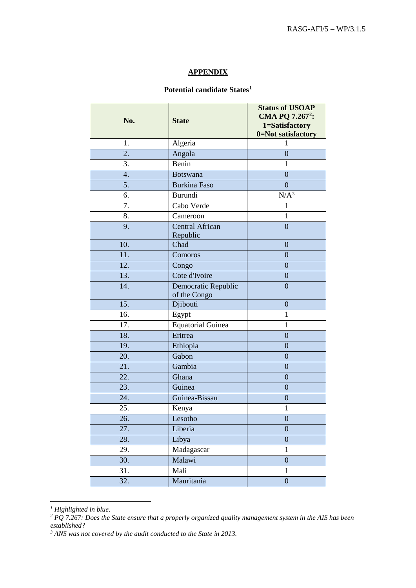### **APPENDIX**

# **Potential candidate States[1](#page-3-0)**

| No.               | <b>State</b>                        | <b>Status of USOAP</b><br>CMA PQ 7.267 <sup>2</sup> :<br>1=Satisfactory<br>0=Not satisfactory |
|-------------------|-------------------------------------|-----------------------------------------------------------------------------------------------|
| 1.                | Algeria                             | 1                                                                                             |
| $\overline{2}$ .  | Angola                              | $\overline{0}$                                                                                |
| 3.                | Benin                               | $\mathbf{1}$                                                                                  |
| $\overline{4}$ .  | <b>Botswana</b>                     | $\overline{0}$                                                                                |
| 5.                | <b>Burkina Faso</b>                 | $\overline{0}$                                                                                |
| 6.                | Burundi                             | $N/A^3$                                                                                       |
| 7.                | Cabo Verde                          | $\mathbf{1}$                                                                                  |
| 8.                | Cameroon                            | $\mathbf{1}$                                                                                  |
| 9.                | <b>Central African</b><br>Republic  | $\overline{0}$                                                                                |
| 10.               | Chad                                | $\overline{0}$                                                                                |
| 11.               | Comoros                             | $\overline{0}$                                                                                |
| 12.               | Congo                               | $\overline{0}$                                                                                |
| 13.               | Cote d'Ivoire                       | $\boldsymbol{0}$                                                                              |
| 14.               | Democratic Republic<br>of the Congo | $\overline{0}$                                                                                |
| $\overline{15}$ . | Djibouti                            | $\overline{0}$                                                                                |
| 16.               | Egypt                               | 1                                                                                             |
| 17.               | Equatorial Guinea                   | $\mathbf{1}$                                                                                  |
| 18.               | Eritrea                             | $\overline{0}$                                                                                |
| 19.               | Ethiopia                            | $\overline{0}$                                                                                |
| 20.               | Gabon                               | $\overline{0}$                                                                                |
| 21.               | Gambia                              | $\overline{0}$                                                                                |
| 22.               | Ghana                               | $\overline{0}$                                                                                |
| 23.               | Guinea                              | $\overline{0}$                                                                                |
| 24.               | Guinea-Bissau                       | $\boldsymbol{0}$                                                                              |
| 25.               | Kenya                               | $\mathbf{1}$                                                                                  |
| 26.               | Lesotho                             | $\boldsymbol{0}$                                                                              |
| 27.               | Liberia                             | $\overline{0}$                                                                                |
| 28.               | Libya                               | $\boldsymbol{0}$                                                                              |
| 29.               | Madagascar                          | $\mathbf{1}$                                                                                  |
| 30.               | Malawi                              | $\boldsymbol{0}$                                                                              |
| 31.               | Mali                                | $\mathbf{1}$                                                                                  |
| 32.               | Mauritania                          | $\overline{0}$                                                                                |

<span id="page-3-0"></span>*<sup>1</sup> Highlighted in blue.*

<u>.</u>

<span id="page-3-1"></span>*<sup>2</sup> PQ 7.267: Does the State ensure that a properly organized quality management system in the AIS has been established?*

<span id="page-3-2"></span>*<sup>3</sup> ANS was not covered by the audit conducted to the State in 2013.*